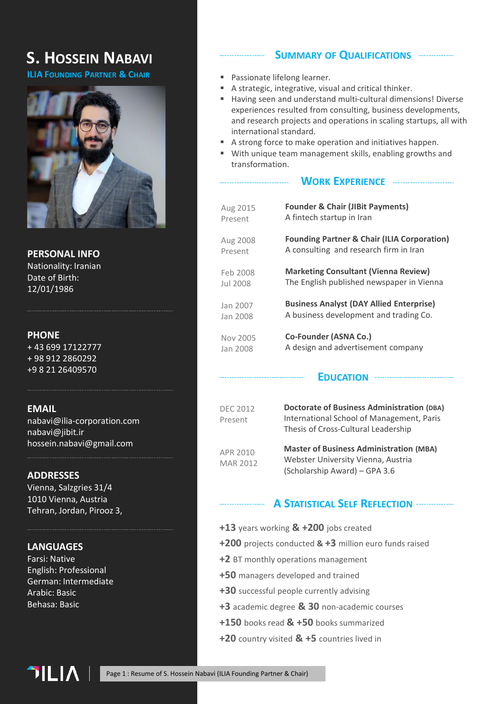# **S. HOSSEIN NABAVI**

**ILIA FOUNDING PARTNER & CHAIR**



**PERSONAL INFO** Nationality: Iranian Date of Birth: 12/01/1986

## **PHONE**

+ 43 699 17122777 + 98 912 2860292 +9 8 21 26409570

## **EMAIL**

nabavi@ilia-corporation.com nabavi@jibit.ir hossein.nabavi@gmail.com

## **ADDRESSES**

Vienna, Salzgries 31/4 1010 Vienna, Austria Tehran, Jordan, Pirooz 3,

## **LANGUAGES**

Farsi: Native English: Professional German: Intermediate Arabic: Basic Behasa: Basic

## **SUMMARY OF QUALIFICATIONS**

- Passionate lifelong learner.
- A strategic, integrative, visual and critical thinker.
- Having seen and understand multi-cultural dimensions! Diverse experiences resulted from consulting, business developments, and research projects and operations in scaling startups, all with international standard.
- A strong force to make operation and initiatives happen.
- With unique team management skills, enabling growths and transformation.

## **WORK EXPERIENCE**

| Aug 2015 | <b>Founder &amp; Chair (JIBit Payments)</b>            |
|----------|--------------------------------------------------------|
| Present  | A fintech startup in Iran                              |
| Aug 2008 | <b>Founding Partner &amp; Chair (ILIA Corporation)</b> |
| Present  | A consulting and research firm in Iran                 |
| Feb 2008 | <b>Marketing Consultant (Vienna Review)</b>            |
| Jul 2008 | The English published newspaper in Vienna              |
| Jan 2007 | <b>Business Analyst (DAY Allied Enterprise)</b>        |
| Jan 2008 | A business development and trading Co.                 |
| Nov 2005 | Co-Founder (ASNA Co.)                                  |
| Jan 2008 | A design and advertisement company                     |

### **EDUCATION**

| <b>DEC 2012</b><br>Present | <b>Doctorate of Business Administration (DBA)</b><br>International School of Management, Paris<br>Thesis of Cross-Cultural Leadership |
|----------------------------|---------------------------------------------------------------------------------------------------------------------------------------|
| APR 2010<br>MAR 2012       | <b>Master of Business Administration (MBA)</b><br>Webster University Vienna, Austria<br>(Scholarship Award) – GPA 3.6                 |

## **A STATISTICAL SELF REFLECTION**

- **+13** years working **& +200** jobs created
- **+200** projects conducted **& +3** million euro funds raised
- **+2** BT monthly operations management
- **+50** managers developed and trained
- **+30** successful people currently advising
- **+3** academic degree **& 30** non-academic courses
- **+150** books read **& +50** books summarized
- **+20** country visited **& +5** countries lived in

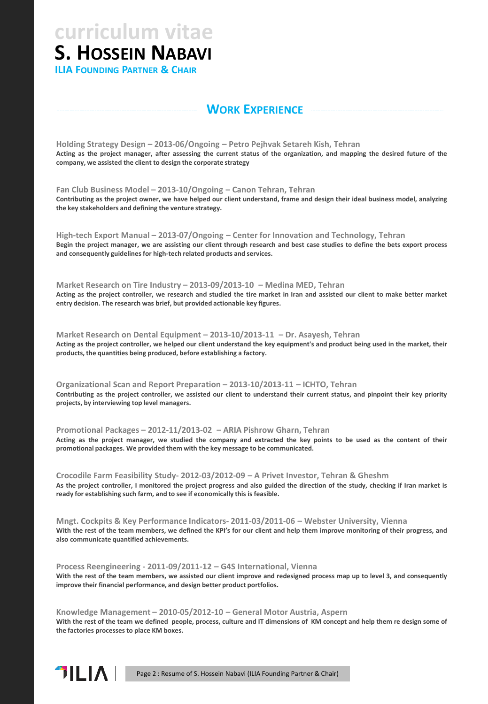**S. HOSSEIN NABAVI curriculum vitae**

**ILIA FOUNDING PARTNER & CHAIR**

## **WORK EXPERIENCE**

**Holding Strategy Design – 2013-06/Ongoing – Petro Pejhvak Setareh Kish, Tehran** Acting as the project manager, after assessing the current status of the organization, and mapping the desired future of the **company, we assisted the client to design the corporate strategy**

**Fan Club Business Model – 2013-10/Ongoing – Canon Tehran, Tehran** Contributing as the project owner, we have helped our client understand, frame and design their ideal business model, analyzing **the key stakeholders and defining the venture strategy.**

**High-tech Export Manual – 2013-07/Ongoing – Center for Innovation and Technology, Tehran** Begin the project manager, we are assisting our client through research and best case studies to define the bets export process **and consequently guidelines for high-tech related products and services.**

**Market Research on Tire Industry – 2013-09/2013-10 – Medina MED, Tehran** Acting as the project controller, we research and studied the tire market in Iran and assisted our client to make better market **entry decision. The research was brief, but provided actionable key figures.**

**Market Research on Dental Equipment – 2013-10/2013-11 – Dr. Asayesh, Tehran** Acting as the project controller, we helped our client understand the key equipment's and product being used in the market, their **products, the quantities being produced, before establishing a factory.**

**Organizational Scan and Report Preparation – 2013-10/2013-11 – ICHTO, Tehran** Contributing as the project controller, we assisted our client to understand their current status, and pinpoint their key priority **projects, by interviewing top level managers.**

**Promotional Packages – 2012-11/2013-02 – ARIA Pishrow Gharn, Tehran** Acting as the project manager, we studied the company and extracted the key points to be used as the content of their **promotional packages. We provided them with the key message to be communicated.**

**Crocodile Farm Feasibility Study- 2012-03/2012-09 – A Privet Investor, Tehran & Gheshm** As the project controller, I monitored the project progress and also guided the direction of the study, checking if Iran market is **ready for establishing such farm, and to see if economically this is feasible.**

**Mngt. Cockpits & Key Performance Indicators- 2011-03/2011-06 – Webster University, Vienna** With the rest of the team members, we defined the KPI's for our client and help them improve monitoring of their progress, and **also communicate quantified achievements.**

**Process Reengineering - 2011-09/2011-12 – G4S International, Vienna** With the rest of the team members, we assisted our client improve and redesigned process map up to level 3, and consequently **improve their financial performance, and design better product portfolios.**

**Knowledge Management – 2010-05/2012-10 – General Motor Austria, Aspern** With the rest of the team we defined people, process, culture and IT dimensions of KM concept and help them re design some of **the factories processes to place KM boxes.**



Page 2 : Resume of S. Hossein Nabavi (ILIA Founding Partner & Chair)